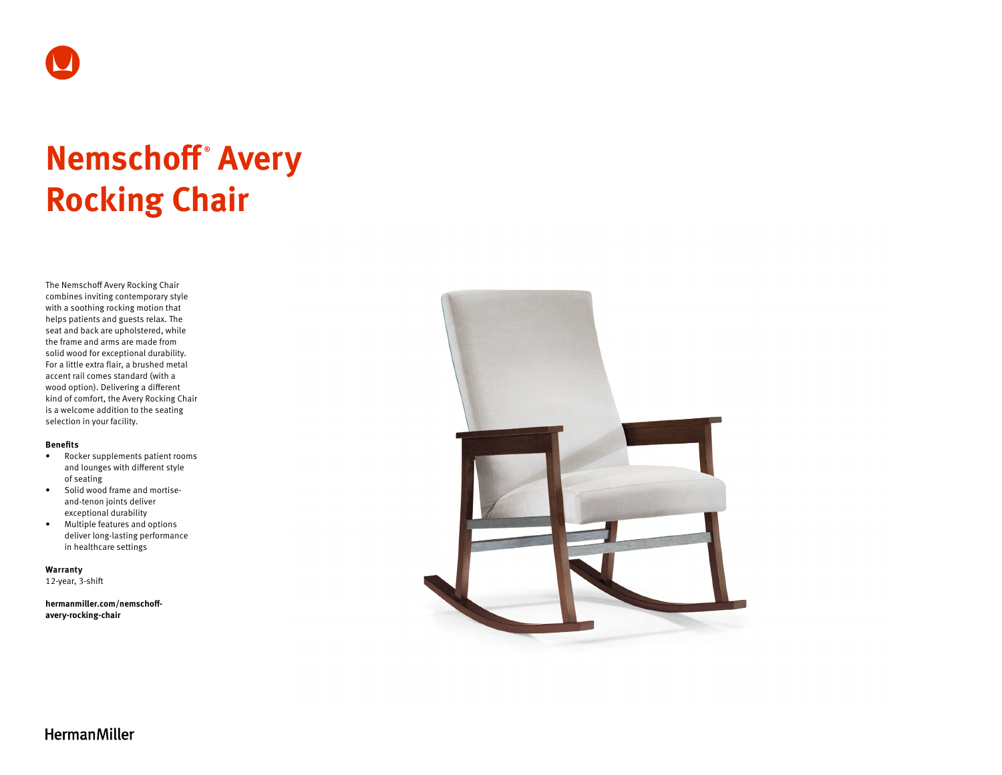

# **Nemschoff ® Avery Rocking Chair**

The Nemschoff Avery Rocking Chair combines inviting contemporary style with a soothing rocking motion that helps patients and guests relax. The seat and back are upholstered, while the frame and arms are made from solid wood for exceptional durability. For a little extra flair, a brushed metal accent rail comes standard (with a wood option). Delivering a different kind of comfort, the Avery Rocking Chair is a welcome addition to the seating selection in your facility.

#### **Benefits**

- Rocker supplements patient rooms and lounges with different style of seating
- Solid wood frame and mortiseand-tenon joints deliver exceptional durability
- Multiple features and options deliver long-lasting performance in healthcare settings

**Warranty**  12-year, 3-shift

**[hermanmiller.com/nemschoff](http://hermanmiller.com/nemschoff-avery-rocking-chair)[avery-rocking-chair](http://hermanmiller.com/nemschoff-avery-rocking-chair)**



**HermanMiller**